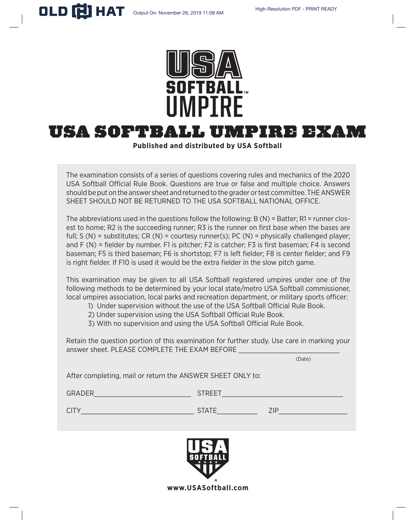

# USa softball Umpire Exam

**Published and distributed by USA Softball**

The examination consists of a series of questions covering rules and mechanics of the 2020 USA Softball Official Rule Book. Questions are true or false and multiple choice. Answers should be put on the answer sheet and returned to the grader or test committee. THE ANSWER SHEET SHOULD NOT BE RETURNED TO THE USA SOFTBALL NATIONAL OFFICE.

The abbreviations used in the questions follow the following: B (N) = Batter; R1 = runner closest to home; R2 is the succeeding runner; R3 is the runner on first base when the bases are full:  $S(N)$  = substitutes;  $CR(N)$  = courtesy runner(s);  $PC(N)$  = physically challenged player; and F (N) = fielder by number. F1 is pitcher; F2 is catcher; F3 is first baseman; F4 is second baseman; F5 is third baseman; F6 is shortstop; F7 is left fielder; F8 is center fielder; and F9 is right fielder. If F10 is used it would be the extra fielder in the slow pitch game.

This examination may be given to all USA Softball registered umpires under one of the following methods to be determined by your local state/metro USA Softball commissioner, local umpires association, local parks and recreation department, or military sports officer:

- 1) Under supervision without the use of the USA Softball Official Rule Book.
- 2) Under supervision using the USA Softball Official Rule Book.
- 3) With no supervision and using the USA Softball Official Rule Book.

Retain the question portion of this examination for further study. Use care in marking your answer sheet. PLEASE COMPLETE THE EXAM BEFORE

(Date)

After completing, mail or return the ANSWER SHEET ONLY to:

| <b>GRADER</b> | STREET       |       |
|---------------|--------------|-------|
| CITY          | <b>STATE</b> | 7 I F |

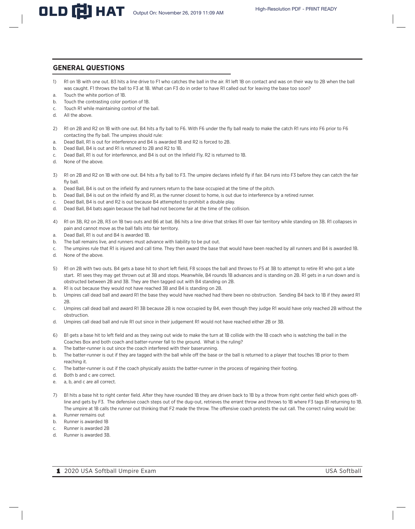# **GENERAL QUESTIONS**

- 1) R1 on 1B with one out. B3 hits a line drive to F1 who catches the ball in the air. R1 left 1B on contact and was on their way to 2B when the ball was caught. F1 throws the ball to F3 at 1B. What can F3 do in order to have R1 called out for leaving the base too soon?
- a. Touch the white portion of 1B.
- b. Touch the contrasting color portion of 1B.
- c. Touch R1 while maintaining control of the ball.
- d. All the above.
- 2) R1 on 2B and R2 on 1B with one out. B4 hits a fly ball to F6. With F6 under the fly ball ready to make the catch R1 runs into F6 prior to F6 contacting the fly ball. The umpires should rule:
- a. Dead Ball, R1 is out for interference and B4 is awarded 1B and R2 is forced to 2B.
- b. Dead Ball, B4 is out and R1 is retuned to 2B and R2 to 1B.
- c. Dead Ball, R1 is out for interference, and B4 is out on the Infield Fly. R2 is returned to 1B.
- d. None of the above.
- 3) R1 on 2B and R2 on 1B with one out. B4 hits a fly ball to F3. The umpire declares infield fly if fair. B4 runs into F3 before they can catch the fair fly ball.
- a. Dead Ball, B4 is out on the infield fly and runners return to the base occupied at the time of the pitch.
- b. Dead Ball, B4 is out on the infield fly and R1, as the runner closest to home, is out due to interference by a retired runner.
- c. Dead Ball, B4 is out and R2 is out because B4 attempted to prohibit a double play.
- d. Dead Ball, B4 bats again because the ball had not become fair at the time of the collision.
- 4) R1 on 3B, R2 on 2B, R3 on 1B two outs and B6 at bat. B6 hits a line drive that strikes R1 over fair territory while standing on 3B. R1 collapses in pain and cannot move as the ball falls into fair territory.
- a. Dead Ball, R1 is out and B4 is awarded 1B.
- b. The ball remains live, and runners must advance with liability to be put out.
- c. The umpires rule that R1 is injured and call time. They then award the base that would have been reached by all runners and B4 is awarded 1B.
- d. None of the above.
- 5) R1 on 2B with two outs. B4 gets a base hit to short left field, F8 scoops the ball and throws to F5 at 3B to attempt to retire R1 who got a late start. R1 sees they may get thrown out at 3B and stops. Meanwhile, B4 rounds 1B advances and is standing on 2B. R1 gets in a run down and is obstructed between 2B and 3B. They are then tagged out with B4 standing on 2B.
- a. R1 is out because they would not have reached 3B and B4 is standing on 2B.
- b. Umpires call dead ball and award R1 the base they would have reached had there been no obstruction. Sending B4 back to 1B if they award R1 2B.
- c. Umpires call dead ball and award R1 3B because 2B is now occupied by B4, even though they judge R1 would have only reached 2B without the obstruction.
- d. Umpires call dead ball and rule R1 out since in their judgement R1 would not have reached either 2B or 3B.
- 6) B1 gets a base hit to left field and as they swing out wide to make the turn at 1B collide with the 1B coach who is watching the ball in the Coaches Box and both coach and batter-runner fall to the ground. What is the ruling?
- a. The batter-runner is out since the coach interfered with their baserunning.
- b. The batter-runner is out if they are tagged with the ball while off the base or the ball is returned to a player that touches 1B prior to them reaching it.
- c. The batter-runner is out if the coach physically assists the batter-runner in the process of regaining their footing.
- d. Both b and c are correct.
- e. a, b, and c are all correct.
- 7) B1 hits a base hit to right center field. After they have rounded 1B they are driven back to 1B by a throw from right center field which goes offline and gets by F3. The defensive coach steps out of the dug-out, retrieves the errant throw and throws to 1B where F3 tags B1 returning to 1B. The umpire at 1B calls the runner out thinking that F2 made the throw. The offensive coach protests the out call. The correct ruling would be:
- a. Runner remains out
- b. Runner is awarded 1B
- c. Runner is awarded 2B
- d. Runner is awarded 3B.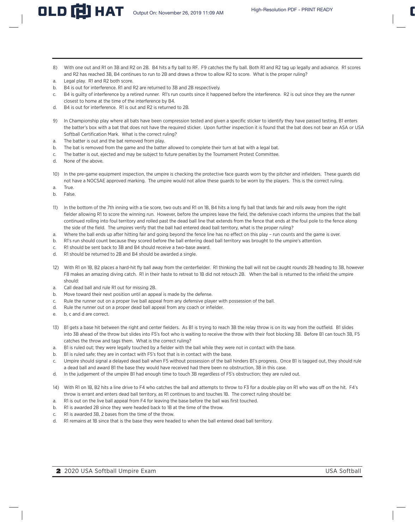- 8) With one out and R1 on 3B and R2 on 2B. B4 hits a fly ball to RF. F9 catches the fly ball. Both R1 and R2 tag up legally and advance. R1 scores and R2 has reached 3B, B4 continues to run to 2B and draws a throw to allow R2 to score. What is the proper ruling?
- a. Legal play. R1 and R2 both score.
- b. B4 is out for interference. R1 and R2 are returned to 3B and 2B respectively.
- c. B4 is guilty of interference by a retired runner. R1's run counts since it happened before the interference. R2 is out since they are the runner closest to home at the time of the interference by B4.
- d. B4 is out for interference. R1 is out and R2 is returned to 2B.
- 9) In Championship play where all bats have been compression tested and given a specific sticker to identify they have passed testing, B1 enters the batter's box with a bat that does not have the required sticker. Upon further inspection it is found that the bat does not bear an ASA or USA Softball Certification Mark. What is the correct ruling?
- a. The batter is out and the bat removed from play.
- b. The bat is removed from the game and the batter allowed to complete their turn at bat with a legal bat.
- c. The batter is out, ejected and may be subject to future penalties by the Tournament Protest Committee.
- d. None of the above.
- 10) In the pre-game equipment inspection, the umpire is checking the protective face guards worn by the pitcher and infielders. These guards did not have a NOCSAE approved marking. The umpire would not allow these guards to be worn by the players. This is the correct ruling.
- a. True.
- b. False.
- 11) In the bottom of the 7th inning with a tie score, two outs and R1 on 1B, B4 hits a long fly ball that lands fair and rolls away from the right fielder allowing R1 to score the winning run. However, before the umpires leave the field, the defensive coach informs the umpires that the ball continued rolling into foul territory and rolled past the dead ball line that extends from the fence that ends at the foul pole to the fence along the side of the field. The umpires verify that the ball had entered dead ball territory, what is the proper ruling?
- a. Where the ball ends up after hitting fair and going beyond the fence line has no effect on this play run counts and the game is over.
- b. R1's run should count because they scored before the ball entering dead ball territory was brought to the umpire's attention.
- c. R1 should be sent back to 3B and B4 should receive a two-base award.
- d. R1 should be returned to 2B and B4 should be awarded a single.
- 12) With R1 on 1B, B2 places a hard-hit fly ball away from the centerfielder. R1 thinking the ball will not be caught rounds 2B heading to 3B, however F8 makes an amazing diving catch. R1 in their haste to retreat to 1B did not retouch 2B. When the ball is returned to the infield the umpire should:
- a. Call dead ball and rule R1 out for missing 2B.
- b. Move toward their next position until an appeal is made by the defense.
- c. Rule the runner out on a proper live ball appeal from any defensive player with possession of the ball.
- d. Rule the runner out on a proper dead ball appeal from any coach or infielder.
- e. b, c and d are correct.
- 13) B1 gets a base hit between the right and center fielders. As B1 is trying to reach 3B the relay throw is on its way from the outfield. B1 slides into 3B ahead of the throw but slides into F5's foot who is waiting to receive the throw with their foot blocking 3B. Before B1 can touch 3B, F5 catches the throw and tags them. What is the correct ruling?
- a. B1 is ruled out; they were legally touched by a fielder with the ball while they were not in contact with the base.
- b. B1 is ruled safe; they are in contact with F5's foot that is in contact with the base.
- c. Umpire should signal a delayed dead ball when F5 without possession of the ball hinders B1's progress. Once B1 is tagged out, they should rule a dead ball and award B1 the base they would have received had there been no obstruction, 3B in this case.
- d. In the judgement of the umpire B1 had enough time to touch 3B regardless of F5's obstruction; they are ruled out.
- 14) With R1 on 1B, B2 hits a line drive to F4 who catches the ball and attempts to throw to F3 for a double play on R1 who was off on the hit. F4's throw is errant and enters dead ball territory, as R1 continues to and touches 1B. The correct ruling should be:
- a. R1 is out on the live ball appeal from F4 for leaving the base before the ball was first touched.
- b. R1 is awarded 2B since they were headed back to 1B at the time of the throw.
- c. R1 is awarded 3B, 2 bases from the time of the throw.
- d. R1 remains at 1B since that is the base they were headed to when the ball entered dead ball territory.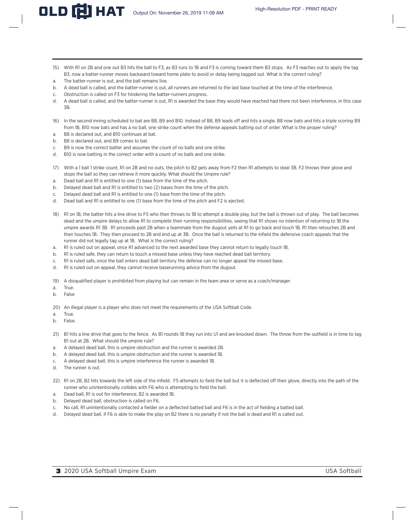- 15) With R1 on 2B and one out B3 hits the ball to F3, as B3 runs to 1B and F3 is coming toward them B3 stops. As F3 reaches out to apply the tag B3, now a batter-runner moves backward toward home plate to avoid or delay being tagged out. What is the correct ruling?
- a. The batter-runner is out, and the ball remains live.
- b. A dead ball is called, and the batter-runner is out, all runners are returned to the last base touched at the time of the interference.
- c. Obstruction is called on F3 for hindering the batter-runners progress.
- d. A dead ball is called, and the batter-runner is out, R1 is awarded the base they would have reached had there not been interference, in this case 3B.
- 16) In the second inning scheduled to bat are B8, B9 and B10. Instead of B8, B9 leads off and hits a single. B8 now bats and hits a triple scoring B9 from 1B. B10 now bats and has a no ball, one strike count when the defense appeals batting out of order. What is the proper ruling?
- a. B8 is declared out, and B10 continues at bat.
- b. B8 is declared out, and B9 comes to bat.
- c. B9 is now the correct batter and assumes the count of no balls and one strike.
- d. B10 is now batting in the correct order with a count of no balls and one strike.
- 17) With a 1 ball 1 strike count, R1 on 2B and no outs, the pitch to B2 gets away from F2 then R1 attempts to steal 3B. F2 throws their glove and stops the ball so they can retrieve it more quickly. What should the Umpire rule?
- a. Dead ball and R1 is entitled to one (1) base from the time of the pitch.
- b. Delayed dead ball and R1 is entitled to two (2) bases from the time of the pitch.
- c. Delayed dead ball and R1 is entitled to one (1) base from the time of the pitch.
- d. Dead ball and R1 is entitled to one (1) base from the time of the pitch and F2 is ejected.
- 18) R1 on 1B, the batter hits a line drive to F5 who then throws to 1B to attempt a double play, but the ball is thrown out of play. The ball becomes dead and the umpire delays to allow R1 to complete their running responsibilities, seeing that R1 shows no intention of returning to 1B the umpire awards R1 3B. R1 proceeds past 2B when a teammate from the dugout yells at R1 to go back and touch 1B, R1 then retouches 2B and then touches 1B. They then proceed to 2B and end up at 3B. Once the ball is returned to the infield the defensive coach appeals that the runner did not legally tag up at 1B. What is the correct ruling?
- a. R1 is ruled out on appeal, once R1 advanced to the next awarded base they cannot return to legally touch 1B.
- b. R1 is ruled safe, they can return to touch a missed base unless they have reached dead ball territory.
- c. R1 is ruled safe, once the ball enters dead ball territory the defense can no longer appeal the missed base.
- d. R1 is ruled out on appeal, they cannot receive baserunning advice from the dugout.
- 19) A disqualified player is prohibited from playing but can remain in the team area or serve as a coach/manager.
- a. True.
- b. False
- 20) An illegal player is a player who does not meet the requirements of the USA Softball Code.
- a. True.
- b. False.
- 21) B1 hits a line drive that goes to the fence. As B1 rounds 1B they run into U1 and are knocked down. The throw from the outfield is in time to tag B1 out at 2B. What should the umpire rule?
- a. A delayed dead ball, this is umpire obstruction and the runner is awarded 2B.
- b. A delayed dead ball, this is umpire obstruction and the runner is awarded 1B.
- c. A delayed dead ball, this is umpire interference the runner is awarded 1B.
- d. The runner is out.
- 22) R1 on 2B, B2 hits towards the left side of the infield. F5 attempts to field the ball but it is deflected off their glove, directly into the path of the runner who unintentionally collides with F6 who is attempting to field the ball.
- a. Dead ball, R1 is out for interference, B2 is awarded 1B.
- b. Delayed dead ball, obstruction is called on F6.
- c. No call, R1 unintentionally contacted a fielder on a deflected batted ball and F6 is in the act of fielding a batted ball.
- d. Delayed dead ball, if F6 is able to make the play on B2 there is no penalty if not the ball is dead and R1 is called out.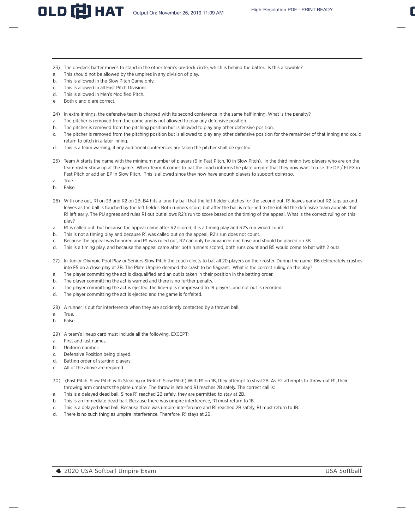- 23) The on-deck batter moves to stand in the other team's on-deck circle, which is behind the batter. Is this allowable?
- a. This should not be allowed by the umpires in any division of play.
- b. This is allowed in the Slow Pitch Game only.
- c. This is allowed in all Fast Pitch Divisions.
- d. This is allowed in Men's Modified Pitch.
- e. Both c and d are correct.
- 24) In extra innings, the defensive team is charged with its second conference in the same half inning. What is the penalty?
- a. The pitcher is removed from the game and is not allowed to play any defensive position.
- b. The pitcher is removed from the pitching position but is allowed to play any other defensive position.
- c. The pitcher is removed from the pitching position but is allowed to play any other defensive position for the remainder of that inning and could return to pitch in a later inning.
- d. This is a team warning, if any additional conferences are taken the pitcher shall be ejected.
- 25) Team A starts the game with the minimum number of players (9 in Fast Pitch, 10 in Slow Pitch). In the third inning two players who are on the team roster show up at the game. When Team A comes to bat the coach informs the plate umpire that they now want to use the DP / FLEX in Fast Pitch or add an EP in Slow Pitch. This is allowed since they now have enough players to support doing so.
- a. True.
- b. False.
- 26) With one out, R1 on 3B and R2 on 2B, B4 hits a long fly ball that the left fielder catches for the second out. R1 leaves early but R2 tags up and leaves as the ball is touched by the left fielder. Both runners score, but after the ball is returned to the infield the defensive team appeals that R1 left early. The PU agrees and rules R1 out but allows R2's run to score based on the timing of the appeal. What is the correct ruling on this play?
- a. R1 is called out, but because the appeal came after R2 scored, it is a timing play and R2's run would count.
- b. This is not a timing play and because R1 was called out on the appeal, R2's run does not count.
- c. Because the appeal was honored and R1 was ruled out, R2 can only be advanced one base and should be placed on 3B.
- d. This is a timing play, and because the appeal came after both runners scored, both runs count and B5 would come to bat with 2 outs.
- 27) In Junior Olympic Pool Play or Seniors Slow Pitch the coach elects to bat all 20 players on their roster. During the game, B6 deliberately crashes into F5 on a close play at 3B. The Plate Umpire deemed the crash to be flagrant. What is the correct ruling on the play?
- a. The player committing the act is disqualified and an out is taken in their position in the batting order.
- b. The player committing the act is warned and there is no further penalty.
- c. The player committing the act is ejected, the line-up is compressed to 19 players, and not out is recorded.
- d. The player committing the act is ejected and the game is forfeited.
- 28) A runner is out for interference when they are accidently contacted by a thrown ball.
- a. True.
- b. False.
- 29) A team's lineup card must include all the following, EXCEPT:
- a. First and last names.
- b. Uniform number.
- c. Defensive Position being played.
- d. Batting order of starting players.
- e. All of the above are required.
- 30) (Fast Pitch, Slow Pitch with Stealing or 16-Inch Slow Pitch) With R1 on 1B, they attempt to steal 2B. As F2 attempts to throw out R1, their throwing arm contacts the plate umpire. The throw is late and R1 reaches 2B safely. The correct call is:
- a. This is a delayed dead ball. Since R1 reached 2B safely, they are permitted to stay at 2B.
- b. This is an immediate dead ball. Because there was umpire interference, R1 must return to 1B.
- c. This is a delayed dead ball. Because there was umpire interference and R1 reached 2B safely, R1 must return to 1B.
- d. There is no such thing as umpire interference. Therefore, R1 stays at 2B.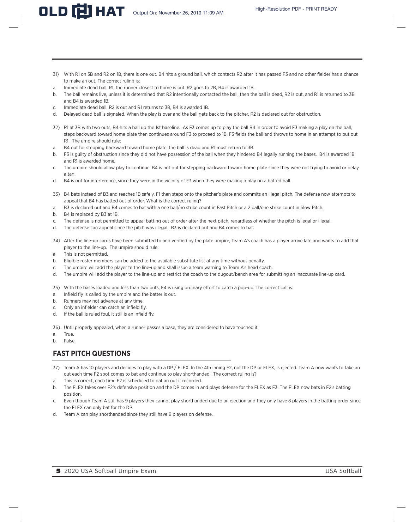- 31) With R1 on 3B and R2 on 1B, there is one out. B4 hits a ground ball, which contacts R2 after it has passed F3 and no other fielder has a chance to make an out. The correct ruling is:
- a. Immediate dead ball. R1, the runner closest to home is out. R2 goes to 2B, B4 is awarded 1B.
- b. The ball remains live, unless it is determined that R2 intentionally contacted the ball, then the ball is dead, R2 is out, and R1 is returned to 3B and B4 is awarded 1B.
- c. Immediate dead ball. R2 is out and R1 returns to 3B, B4 is awarded 1B.
- d. Delayed dead ball is signaled. When the play is over and the ball gets back to the pitcher, R2 is declared out for obstruction.
- 32) R1 at 3B with two outs, B4 hits a ball up the 1st baseline. As F3 comes up to play the ball B4 in order to avoid F3 making a play on the ball, steps backward toward home plate then continues around F3 to proceed to 1B, F3 fields the ball and throws to home in an attempt to put out R1. The umpire should rule:
- a. B4 out for stepping backward toward home plate, the ball is dead and R1 must return to 3B.
- b. F3 is guilty of obstruction since they did not have possession of the ball when they hindered B4 legally running the bases. B4 is awarded 1B and R1 is awarded home.
- c. The umpire should allow play to continue. B4 is not out for stepping backward toward home plate since they were not trying to avoid or delay a tag.
- d. B4 is out for interference, since they were in the vicinity of F3 when they were making a play on a batted ball.
- 33) B4 bats instead of B3 and reaches 1B safely. F1 then steps onto the pitcher's plate and commits an illegal pitch. The defense now attempts to appeal that B4 has batted out of order. What is the correct ruling?
- a. B3 is declared out and B4 comes to bat with a one ball/no strike count in Fast Pitch or a 2 ball/one strike count in Slow Pitch.
- b. B4 is replaced by B3 at 1B.
- c. The defense is not permitted to appeal batting out of order after the next pitch, regardless of whether the pitch is legal or illegal.
- d. The defense can appeal since the pitch was illegal. B3 is declared out and B4 comes to bat.
- 34) After the line-up cards have been submitted to and verified by the plate umpire, Team A's coach has a player arrive late and wants to add that player to the line-up. The umpire should rule:
- a. This is not permitted.
- b. Eligible roster members can be added to the available substitute list at any time without penalty.
- c. The umpire will add the player to the line-up and shall issue a team warning to Team A's head coach.
- d. The umpire will add the player to the line-up and restrict the coach to the dugout/bench area for submitting an inaccurate line-up card.

35) With the bases loaded and less than two outs, F4 is using ordinary effort to catch a pop-up. The correct call is:

- a. Infield fly is called by the umpire and the batter is out.
- b. Runners may not advance at any time.
- c. Only an infielder can catch an infield fly.
- d. If the ball is ruled foul, it still is an infield fly.

36) Until properly appealed, when a runner passes a base, they are considered to have touched it.

- a. True.
- b. False.

# **FAST PITCH QUESTIONS**

- 37) Team A has 10 players and decides to play with a DP / FLEX. In the 4th inning F2, not the DP or FLEX, is ejected. Team A now wants to take an out each time F2 spot comes to bat and continue to play shorthanded. The correct ruling is?
- a. This is correct, each time F2 is scheduled to bat an out if recorded.
- b. The FLEX takes over F2's defensive position and the DP comes in and plays defense for the FLEX as F3. The FLEX now bats in F2's batting position.
- c. Even though Team A still has 9 players they cannot play shorthanded due to an ejection and they only have 8 players in the batting order since the FLEX can only bat for the DP.
- d. Team A can play shorthanded since they still have 9 players on defense.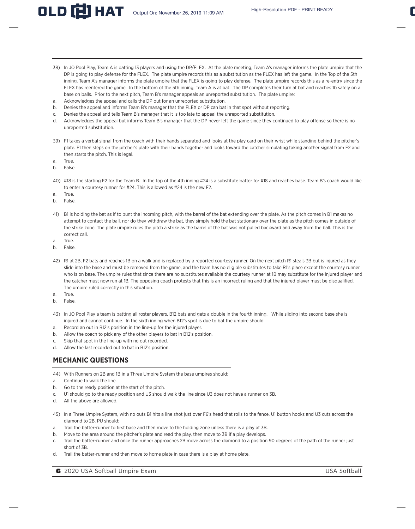- 38) In JO Pool Play, Team A is batting 13 players and using the DP/FLEX. At the plate meeting, Team A's manager informs the plate umpire that the DP is going to play defense for the FLEX. The plate umpire records this as a substitution as the FLEX has left the game. In the Top of the 5th inning, Team A's manager informs the plate umpire that the FLEX is going to play defense. The plate umpire records this as a re-entry since the FLEX has reentered the game. In the bottom of the 5th inning, Team A is at bat. The DP completes their turn at bat and reaches 1b safely on a base on balls. Prior to the next pitch, Team B's manager appeals an unreported substitution. The plate umpire:
- a. Acknowledges the appeal and calls the DP out for an unreported substitution.
- b. Denies the appeal and informs Team B's manager that the FLEX or DP can bat in that spot without reporting.
- c. Denies the appeal and tells Team B's manager that it is too late to appeal the unreported substitution.
- d. Acknowledges the appeal but informs Team B's manager that the DP never left the game since they continued to play offense so there is no unreported substitution.
- 39) F1 takes a verbal signal from the coach with their hands separated and looks at the play card on their wrist while standing behind the pitcher's plate. F1 then steps on the pitcher's plate with their hands together and looks toward the catcher simulating taking another signal from F2 and then starts the pitch. This is legal.
- a. True.
- b. False.
- 40) #18 is the starting F2 for the Team B. In the top of the 4th inning #24 is a substitute batter for #18 and reaches base. Team B's coach would like to enter a courtesy runner for #24. This is allowed as #24 is the new F2.
- a. True.
- b. False.
- 41) B1 is holding the bat as if to bunt the incoming pitch, with the barrel of the bat extending over the plate. As the pitch comes in B1 makes no attempt to contact the ball, nor do they withdraw the bat, they simply hold the bat stationary over the plate as the pitch comes in outside of the strike zone. The plate umpire rules the pitch a strike as the barrel of the bat was not pulled backward and away from the ball. This is the correct call.
- a. True.
- b. False.
- 42) R1 at 2B, F2 bats and reaches 1B on a walk and is replaced by a reported courtesy runner. On the next pitch R1 steals 3B but is injured as they slide into the base and must be removed from the game, and the team has no eligible substitutes to take R1's place except the courtesy runner who is on base. The umpire rules that since there are no substitutes available the courtesy runner at 1B may substitute for the injured player and the catcher must now run at 1B. The opposing coach protests that this is an incorrect ruling and that the injured player must be disqualified. The umpire ruled correctly in this situation.
- a. True.
- b. False.
- 43) In JO Pool Play a team is batting all roster players, B12 bats and gets a double in the fourth inning. While sliding into second base she is injured and cannot continue. In the sixth inning when B12's spot is due to bat the umpire should:
- a. Record an out in B12's position in the line-up for the injured player.
- b. Allow the coach to pick any of the other players to bat in B12's position.
- c. Skip that spot in the line-up with no out recorded.
- d. Allow the last recorded out to bat in B12's position.

# **MECHANIC QUESTIONS**

- 44) With Runners on 2B and 1B in a Three Umpire System the base umpires should:
- a. Continue to walk the line.
- b. Go to the ready position at the start of the pitch.
- c. U1 should go to the ready position and U3 should walk the line since U3 does not have a runner on 3B.
- d. All the above are allowed.
- 45) In a Three Umpire System, with no outs B1 hits a line shot just over F6's head that rolls to the fence. U1 button hooks and U3 cuts across the diamond to 2B. PU should:
- a. Trail the batter-runner to first base and then move to the holding zone unless there is a play at 3B.
- b. Move to the area around the pitcher's plate and read the play, then move to 3B if a play develops.
- c. Trail the batter-runner and once the runner approaches 2B move across the diamond to a position 90 degrees of the path of the runner just short of 3B.
- d. Trail the batter-runner and then move to home plate in case there is a play at home plate.

**6** 2020 USA Softball Umpire Exam USA Softball Umpire Exam USA Softball Softball USA Softball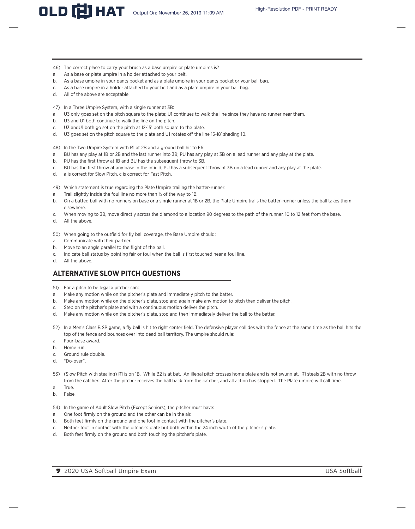- 46) The correct place to carry your brush as a base umpire or plate umpires is?
- a. As a base or plate umpire in a holder attached to your belt.
- b. As a base umpire in your pants pocket and as a plate umpire in your pants pocket or your ball bag.
- c. As a base umpire in a holder attached to your belt and as a plate umpire in your ball bag.
- d. All of the above are acceptable.
- 47) In a Three Umpire System, with a single runner at 3B:
- a. U3 only goes set on the pitch square to the plate; U1 continues to walk the line since they have no runner near them.
- b. U3 and U1 both continue to walk the line on the pitch.
- c. U3 andU1 both go set on the pitch at 12-15' both square to the plate.
- d. U3 goes set on the pitch square to the plate and U1 rotates off the line 15-18' shading 1B.
- 48) In the Two Umpire System with R1 at 2B and a ground ball hit to F6:
- a. BU has any play at 1B or 2B and the last runner into 3B; PU has any play at 3B on a lead runner and any play at the plate.
- b. PU has the first throw at 1B and BU has the subsequent throw to 3B.
- c. BU has the first throw at any base in the infield, PU has a subsequent throw at 3B on a lead runner and any play at the plate.
- d. a is correct for Slow Pitch, c is correct for Fast Pitch.
- 49) Which statement is true regarding the Plate Umpire trailing the batter-runner:
- a. Trail slightly inside the foul line no more than ½ of the way to 1B.
- b. On a batted ball with no runners on base or a single runner at 1B or 2B, the Plate Umpire trails the batter-runner unless the ball takes them elsewhere.
- c. When moving to 3B, move directly across the diamond to a location 90 degrees to the path of the runner, 10 to 12 feet from the base.
- d. All the above.
- 50) When going to the outfield for fly ball coverage, the Base Umpire should:
- a. Communicate with their partner.
- b. Move to an angle parallel to the flight of the ball.
- c. Indicate ball status by pointing fair or foul when the ball is first touched near a foul line.
- d. All the above.

# **ALTERNATIVE SLOW PITCH QUESTIONS**

- 51) For a pitch to be legal a pitcher can:
- a. Make any motion while on the pitcher's plate and immediately pitch to the batter.
- b. Make any motion while on the pitcher's plate, stop and again make any motion to pitch then deliver the pitch.
- c. Step on the pitcher's plate and with a continuous motion deliver the pitch.
- d. Make any motion while on the pitcher's plate, stop and then immediately deliver the ball to the batter.
- 52) In a Men's Class B SP game, a fly ball is hit to right center field. The defensive player collides with the fence at the same time as the ball hits the top of the fence and bounces over into dead ball territory. The umpire should rule:
- a. Four-base award.
- b. Home run.
- c. Ground rule double.
- d. "Do-over".
- 53) (Slow Pitch with stealing) R1 is on 1B. While B2 is at bat. An illegal pitch crosses home plate and is not swung at. R1 steals 2B with no throw from the catcher. After the pitcher receives the ball back from the catcher, and all action has stopped. The Plate umpire will call time.
- a. True.
- b. False.
- 54) In the game of Adult Slow Pitch (Except Seniors), the pitcher must have:
- a. One foot firmly on the ground and the other can be in the air.
- b. Both feet firmly on the ground and one foot in contact with the pitcher's plate.
- c. Neither foot in contact with the pitcher's plate but both within the 24 inch width of the pitcher's plate.
- d. Both feet firmly on the ground and both touching the pitcher's plate.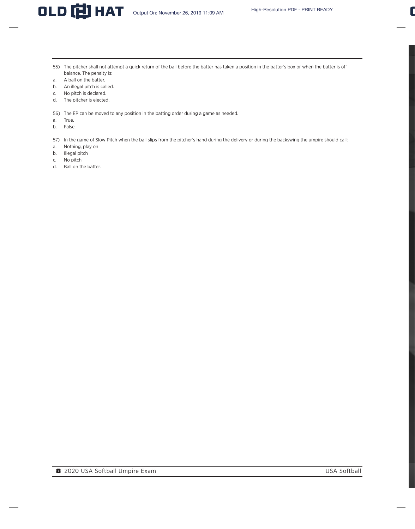- 55) The pitcher shall not attempt a quick return of the ball before the batter has taken a position in the batter's box or when the batter is off balance. The penalty is:
- a. A ball on the batter.
- b. An illegal pitch is called.
- c. No pitch is declared.
- d. The pitcher is ejected.
- 56) The EP can be moved to any position in the batting order during a game as needed.
- a. True.
- b. False.
- 57) In the game of Slow Pitch when the ball slips from the pitcher's hand during the delivery or during the backswing the umpire should call:
- a. Nothing, play on
- b. Illegal pitch
- c. No pitch
- d. Ball on the batter.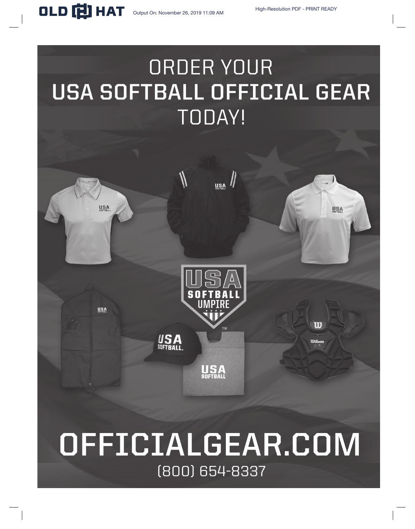# ORDER YOUR USA SOFTBALL OFFICIAL GEAR **TODAY!**



# OFFICIALGEAR.COM (800) 654-8337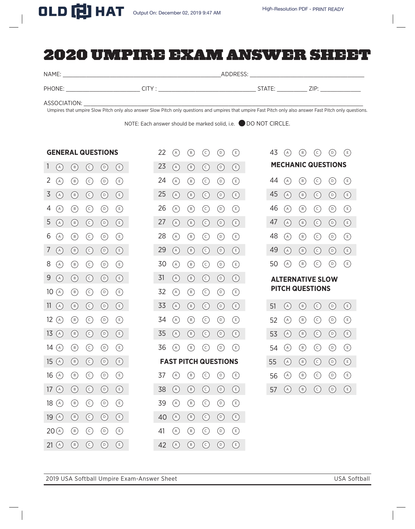# 2020 UMPIRE EXAM ANSWER SHEET

NAME: \_\_\_\_\_\_\_\_\_\_\_\_\_\_\_\_\_\_\_\_\_\_\_\_\_\_\_\_\_\_\_\_\_\_\_\_\_\_\_\_\_\_\_\_\_\_\_ADDRESS: \_\_\_\_\_\_\_\_\_\_\_\_\_\_\_\_\_\_\_\_\_\_\_\_\_\_\_\_\_\_\_\_\_\_

22 (A) (B) (C) (D) (E) 43 (A) (B) (C) (D) (E)

PHONE: \_\_\_\_\_\_\_\_\_\_\_\_\_\_\_\_\_\_\_\_\_\_ CITY : \_\_\_\_\_\_\_\_\_\_\_\_\_\_\_\_\_\_\_\_\_\_\_\_\_\_\_\_\_ STATE: \_\_\_\_\_\_\_\_\_ ZIP: \_\_\_\_\_\_\_\_\_\_\_\_

ASSOCIATION: \_

Umpires that umpire Slow Pitch only also answer Slow Pitch only questions and umpires that umpire Fast Pitch only also answer Fast Pitch only questions.

NOTE: Each answer should be marked solid, i.e. DO NOT CIRCLE.

### **GENERAL QUESTIONS**

| 1               | $\circled{A}$                                     | $\circled{B}$                                                      | $\odot$                 | $\odot$        | $\bigoplus$               | 23 | (A)        | $\circled{B}$                                  | $\odot$             | $\circledcirc$            | $\bigcirc$                |    |     | <b>MECHANIC QUESTIONS</b> |                                                   |                           |                               |
|-----------------|---------------------------------------------------|--------------------------------------------------------------------|-------------------------|----------------|---------------------------|----|------------|------------------------------------------------|---------------------|---------------------------|---------------------------|----|-----|---------------------------|---------------------------------------------------|---------------------------|-------------------------------|
| 2               | $(\mathsf{A})$                                    | $(\mathbf{B})$                                                     | $\left( \infty \right)$ | $\circledcirc$ | $\left(\mathsf{E}\right)$ | 24 | (A)        | $(\mathsf{B})$                                 | $_{\odot}$          | $(\mathsf{D})$            | E)                        | 44 | (A) | $(\mathsf{B})$            | $\left( \in\right)$                               | $\circ$                   | $(\mathsf{E})$                |
| $\overline{3}$  | $\bigcirc$                                        | $(\mathbf{B})$                                                     | $\odot$                 | $\odot$        | $\bigodot$                | 25 | (A)        | $\circled{B}$                                  | $\odot$             | $\circledcirc$            | $\bigodot$                | 45 | (A) | $(\mathsf{B})$            | $\odot$                                           | $\odot$                   | $\circled{\scriptstyle\circ}$ |
| 4               | $\bigcirc$                                        | $(\mathsf{B})$                                                     | $\odot$                 | $\odot$        | $\bigodot$                | 26 | (A)        | $(\mathbf{B})$                                 | ⊙                   | $\circledcirc$            | Œ)                        | 46 | (A) | $(\mathbf{B})$            | $\odot$                                           | $\circledcirc$            | $\bigcirc$                    |
| 5               | (A)                                               | (B)                                                                | $\odot$                 | $\circ$        | $\left(\mathsf{E}\right)$ | 27 | (A)        | (B)                                            | $\odot$             | $\circledcirc$            | $(\mathsf{E})$            | 47 | (A) | $(\mathbf{B})$            | $\odot$                                           | $\left( \circ \right)$    | $\bigcirc$                    |
| 6               | $(\wedge)$                                        | $(\mathbf{B})$                                                     | $\odot$                 | $\circledcirc$ | (E)                       | 28 | $(\wedge)$ | $(\mathbf{B})$                                 | $\odot$             | $\circledcirc$            | Œ                         | 48 | (A) | $(\mathbf{B})$            | $\left( \infty \right)$                           | (0)                       | $\bigcirc$                    |
| 7               | $\left(\begin{matrix} A \\ C \end{matrix}\right)$ | $\left( \begin{matrix} B \end{matrix} \right)$                     | $\circled{c}$           | $\odot$        | $\left(\mathbf{E}\right)$ | 29 | (A)        | $\left( \begin{matrix} B \end{matrix} \right)$ | $\circled{c}$       | $\circledcirc$            | (E)                       | 49 | (A) | $\circled{B}$             | $\odot$                                           | $\circledcirc$            | $\bigodot$                    |
| 8               | (A)                                               | $\circled{\scriptstyle {\rm B}}$                                   | $\circled{c}$           | $\odot$        | $\bigcirc$                | 30 | (A)        | $\circled{b}$                                  | $\odot$             | $\circledcirc$            | Œ)                        | 50 | (A) | $(\mathsf{B})$            | $(\epsilon)$                                      | $\circled{0}$             | $(\epsilon)$                  |
| 9               | $\binom{A}{b}$                                    | $(\mathsf{B})$                                                     | $\odot$                 | $\odot$        | $\bigodot$                | 31 | (A)        | $(\mathsf{B})$                                 | $\odot$             | $\circledcirc$            | $\left(\mathsf{E}\right)$ |    |     | <b>ALTERNATIVE SLOW</b>   |                                                   |                           |                               |
| 10 <sup>°</sup> | $\circled{A}$                                     | $\circled{B}$                                                      | $\odot$                 | $\odot$        | $\bigodot$                | 32 | (A)        | $\circled{b}$                                  | $\odot$             | $\circledcirc$            | $\left(\mathsf{E}\right)$ |    |     | <b>PITCH QUESTIONS</b>    |                                                   |                           |                               |
| 11              | (A)                                               | (B)                                                                | $\circ$                 | $(\mathsf{D})$ | $\bigodot$                | 33 | (A)        | $(\mathbf{B})$                                 | $\odot$             | $(\mathsf{D})$            | $\bigcirc$                | 51 | (A) | $(\mathsf{B})$            | $(\epsilon)$                                      | $\circledcirc$            | $\bigodot$                    |
| 12              | (A)                                               | $(\mathsf{B})$                                                     | $\odot$                 | $\circledcirc$ | E)                        | 34 | (A)        | $(\mathsf{B})$                                 | $_{\odot}$          | $\left( \circ \right)$    | $\left(\mathsf{E}\right)$ | 52 | (A) | $(\mathsf{B})$            | $\odot$                                           | $\circledcirc$            | $\bigcirc$                    |
| 13              | $\binom{A}{A}$                                    | $(\mathsf{B})$                                                     | $\odot$                 | $\odot$        | $\bigodot$                | 35 | (A)        | $\circled{B}$                                  | $\odot$             | $\circledcirc$            | $\left(\mathsf{E}\right)$ | 53 | (A) | $(\mathsf{B})$            | $\odot$                                           | $\odot$                   | $\bigcirc$                    |
|                 |                                                   |                                                                    |                         |                |                           |    |            |                                                |                     |                           |                           |    |     |                           |                                                   |                           |                               |
| 14              | (A)                                               | $(\mathbf{B})$                                                     | $\odot$                 | $\odot$        | $\bigodot$                | 36 | $(\wedge)$ | $(\mathsf{B})$                                 | $(\widehat{\cdot})$ | $(\mathsf{D})$            | Œ,                        | 54 | (A) | $(\mathbf{B})$            | $\odot$                                           | $(\circ)$                 | $\bigcirc$                    |
| 15              | $\binom{A}{b}$                                    | $\left( \begin{matrix} B \end{matrix} \right)$                     | $\odot$                 | $\odot$        | $\bigodot$                |    |            | <b>FAST PITCH QUESTIONS</b>                    |                     |                           |                           | 55 | (A) | $\circled{B}$             | $\odot$                                           | $\odot$                   | $\bigodot$                    |
| 16              | (A)                                               | $(\mathbf{B})$                                                     | $\odot$                 | $\circledcirc$ | $\left(\mathsf{E}\right)$ | 37 | (A)        | $(\mathsf{B})$                                 | $(\circ)$           | $\left(\mathsf{D}\right)$ | (E)                       | 56 | (A) | $(\mathsf{B})$            | $\left( \in \right)$                              | $(\circ)$                 | $(\mathbf{E})$                |
| 17              | $\binom{A}{A}$                                    | $(\mathbf{B})$                                                     | $\odot$                 | $\odot$        | $\bigodot$                | 38 | (A)        | $\left( \mathbf{B}\right)$                     | $\odot$             | $\circledcirc$            | $\bigodot$                | 57 | (A) | $\binom{B}{b}$            | $\left(\begin{matrix} 1 \\ 1 \end{matrix}\right)$ | $\left(\mathsf{D}\right)$ | $\left(\mathsf{E}\right)$     |
| 18              | (A)                                               | $\circled{\scriptstyle\mathrm{B}}$                                 | $\odot$                 | $\circledcirc$ | €                         | 39 | (A)        | $\circled{\scriptstyle\mathsf{(B)}}$           | $\odot$             | $\circledcirc$            | Œ                         |    |     |                           |                                                   |                           |                               |
| 19              | (A)                                               | (B)                                                                | $\odot$                 | $\circledcirc$ | $\bigodot$                | 40 | (A)        | (B)                                            | $\odot$             | $(\circ)$                 | $\bigodot$                |    |     |                           |                                                   |                           |                               |
| 20              | $\binom{A}{A}$                                    | $\circled{\scriptstyle {\scriptstyle (\!\!\!\!\! \cdot\!\!\!\!)}}$ | $\odot$                 | $\odot$        | $\bigoplus$               | 41 | $(\wedge)$ | $\circled{\scriptstyle\mathrm{B}}$             | $_{\bigodot}$       | $\circledcirc$            | ®                         |    |     |                           |                                                   |                           |                               |